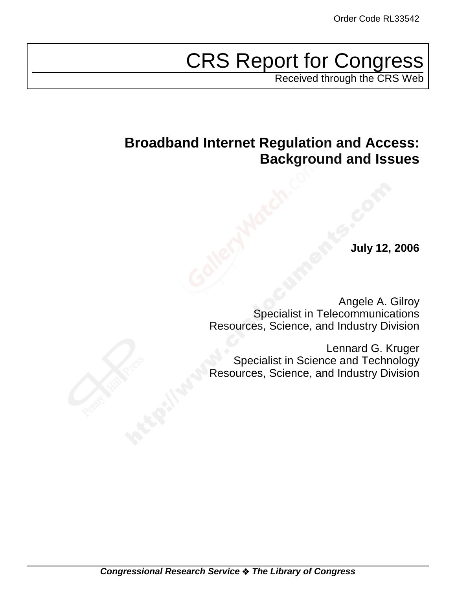# CRS Report for Congress

Received through the CRS Web

## **Broadband Internet Regulation and Access: Background and Issues**

**July 12, 2006**

Angele A. Gilroy Specialist in Telecommunications Resources, Science, and Industry Division

Lennard G. Kruger Specialist in Science and Technology Resources, Science, and Industry Division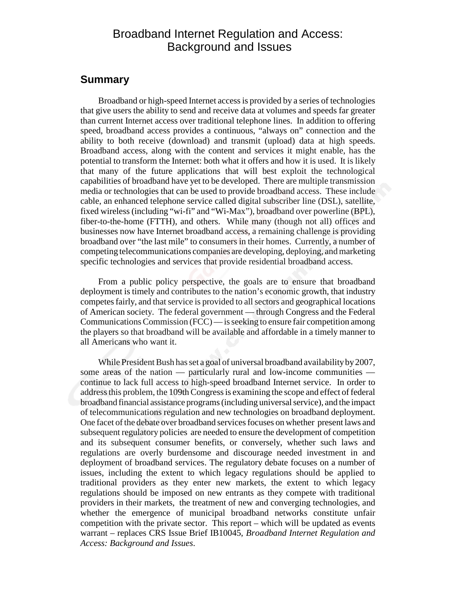## Broadband Internet Regulation and Access: Background and Issues

## **Summary**

Broadband or high-speed Internet access is provided by a series of technologies that give users the ability to send and receive data at volumes and speeds far greater than current Internet access over traditional telephone lines. In addition to offering speed, broadband access provides a continuous, "always on" connection and the ability to both receive (download) and transmit (upload) data at high speeds. Broadband access, along with the content and services it might enable, has the potential to transform the Internet: both what it offers and how it is used. It is likely that many of the future applications that will best exploit the technological capabilities of broadband have yet to be developed. There are multiple transmission media or technologies that can be used to provide broadband access. These include cable, an enhanced telephone service called digital subscriber line (DSL), satellite, fixed wireless (including "wi-fi" and "Wi-Max"), broadband over powerline (BPL), fiber-to-the-home (FTTH), and others. While many (though not all) offices and businesses now have Internet broadband access, a remaining challenge is providing broadband over "the last mile" to consumers in their homes. Currently, a number of competing telecommunications companies are developing, deploying, and marketing specific technologies and services that provide residential broadband access.

From a public policy perspective, the goals are to ensure that broadband deployment is timely and contributes to the nation's economic growth, that industry competes fairly, and that service is provided to all sectors and geographical locations of American society. The federal government — through Congress and the Federal Communications Commission (FCC) — is seeking to ensure fair competition among the players so that broadband will be available and affordable in a timely manner to all Americans who want it.

While President Bush has set a goal of universal broadband availability by 2007, some areas of the nation — particularly rural and low-income communities continue to lack full access to high-speed broadband Internet service. In order to address this problem, the 109th Congress is examining the scope and effect of federal broadband financial assistance programs (including universal service), and the impact of telecommunications regulation and new technologies on broadband deployment. One facet of the debate over broadband services focuses on whether present laws and subsequent regulatory policies are needed to ensure the development of competition and its subsequent consumer benefits, or conversely, whether such laws and regulations are overly burdensome and discourage needed investment in and deployment of broadband services. The regulatory debate focuses on a number of issues, including the extent to which legacy regulations should be applied to traditional providers as they enter new markets, the extent to which legacy regulations should be imposed on new entrants as they compete with traditional providers in their markets, the treatment of new and converging technologies, and whether the emergence of municipal broadband networks constitute unfair competition with the private sector. This report – which will be updated as events warrant – replaces CRS Issue Brief IB10045, *Broadband Internet Regulation and Access: Background and Issues*.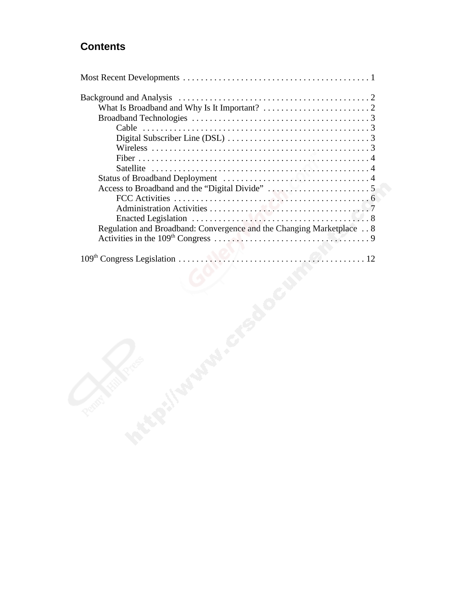## **Contents**

| What Is Broadband and Why Is It Important? $\dots\dots\dots\dots\dots\dots\dots\dots$ |
|---------------------------------------------------------------------------------------|
|                                                                                       |
|                                                                                       |
|                                                                                       |
|                                                                                       |
|                                                                                       |
|                                                                                       |
|                                                                                       |
|                                                                                       |
|                                                                                       |
|                                                                                       |
|                                                                                       |
| Regulation and Broadband: Convergence and the Changing Marketplace 8                  |
|                                                                                       |
|                                                                                       |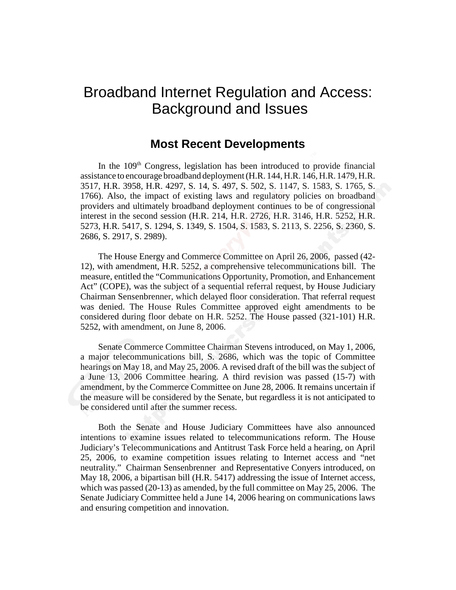## Broadband Internet Regulation and Access: Background and Issues

## **Most Recent Developments**

In the  $109<sup>th</sup>$  Congress, legislation has been introduced to provide financial assistance to encourage broadband deployment (H.R. 144, H.R. 146, H.R. 1479, H.R. 3517, H.R. 3958, H.R. 4297, S. 14, S. 497, S. 502, S. 1147, S. 1583, S. 1765, S. 1766). Also, the impact of existing laws and regulatory policies on broadband providers and ultimately broadband deployment continues to be of congressional interest in the second session (H.R. 214, H.R. 2726, H.R. 3146, H.R. 5252, H.R. 5273, H.R. 5417, S. 1294, S. 1349, S. 1504, S. 1583, S. 2113, S. 2256, S. 2360, S. 2686, S. 2917, S. 2989).

The House Energy and Commerce Committee on April 26, 2006, passed (42- 12), with amendment, H.R. 5252, a comprehensive telecommunications bill. The measure, entitled the "Communications Opportunity, Promotion, and Enhancement Act" (COPE), was the subject of a sequential referral request, by House Judiciary Chairman Sensenbrenner, which delayed floor consideration. That referral request was denied. The House Rules Committee approved eight amendments to be considered during floor debate on H.R. 5252. The House passed (321-101) H.R. 5252, with amendment, on June 8, 2006.

Senate Commerce Committee Chairman Stevens introduced, on May 1, 2006, a major telecommunications bill, S. 2686, which was the topic of Committee hearings on May 18, and May 25, 2006. A revised draft of the bill was the subject of a June 13, 2006 Committee hearing. A third revision was passed (15-7) with amendment, by the Commerce Committee on June 28, 2006. It remains uncertain if the measure will be considered by the Senate, but regardless it is not anticipated to be considered until after the summer recess.

Both the Senate and House Judiciary Committees have also announced intentions to examine issues related to telecommunications reform. The House Judiciary's Telecommunications and Antitrust Task Force held a hearing, on April 25, 2006, to examine competition issues relating to Internet access and "net neutrality." Chairman Sensenbrenner and Representative Conyers introduced, on May 18, 2006, a bipartisan bill (H.R. 5417) addressing the issue of Internet access, which was passed (20-13) as amended, by the full committee on May 25, 2006. The Senate Judiciary Committee held a June 14, 2006 hearing on communications laws and ensuring competition and innovation.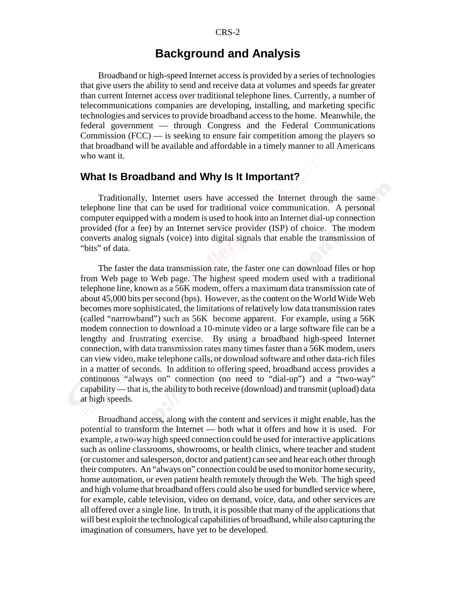## **Background and Analysis**

Broadband or high-speed Internet access is provided by a series of technologies that give users the ability to send and receive data at volumes and speeds far greater than current Internet access over traditional telephone lines. Currently, a number of telecommunications companies are developing, installing, and marketing specific technologies and services to provide broadband access to the home. Meanwhile, the federal government — through Congress and the Federal Communications Commission (FCC) — is seeking to ensure fair competition among the players so that broadband will be available and affordable in a timely manner to all Americans who want it.

### **What Is Broadband and Why Is It Important?**

Traditionally, Internet users have accessed the Internet through the same telephone line that can be used for traditional voice communication. A personal computer equipped with a modem is used to hook into an Internet dial-up connection provided (for a fee) by an Internet service provider (ISP) of choice. The modem converts analog signals (voice) into digital signals that enable the transmission of "bits" of data.

The faster the data transmission rate, the faster one can download files or hop from Web page to Web page. The highest speed modem used with a traditional telephone line, known as a 56K modem, offers a maximum data transmission rate of about 45,000 bits per second (bps). However, as the content on the World Wide Web becomes more sophisticated, the limitations of relatively low data transmission rates (called "narrowband") such as 56K become apparent. For example, using a 56K modem connection to download a 10-minute video or a large software file can be a lengthy and frustrating exercise. By using a broadband high-speed Internet connection, with data transmission rates many times faster than a 56K modem, users can view video, make telephone calls, or download software and other data-rich files in a matter of seconds. In addition to offering speed, broadband access provides a continuous "always on" connection (no need to "dial-up") and a "two-way" capability — that is, the ability to both receive (download) and transmit (upload) data at high speeds.

Broadband access, along with the content and services it might enable, has the potential to transform the Internet — both what it offers and how it is used. For example, a two-way high speed connection could be used for interactive applications such as online classrooms, showrooms, or health clinics, where teacher and student (or customer and salesperson, doctor and patient) can see and hear each other through their computers. An "always on" connection could be used to monitor home security, home automation, or even patient health remotely through the Web. The high speed and high volume that broadband offers could also be used for bundled service where, for example, cable television, video on demand, voice, data, and other services are all offered over a single line. In truth, it is possible that many of the applications that will best exploit the technological capabilities of broadband, while also capturing the imagination of consumers, have yet to be developed.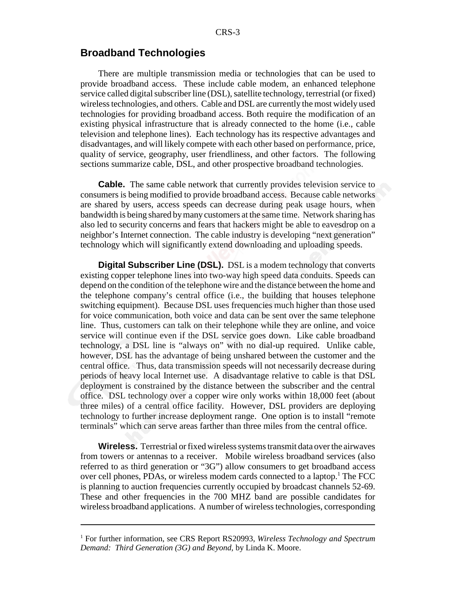#### **Broadband Technologies**

There are multiple transmission media or technologies that can be used to provide broadband access. These include cable modem, an enhanced telephone service called digital subscriber line (DSL), satellite technology, terrestrial (or fixed) wireless technologies, and others. Cable and DSL are currently the most widely used technologies for providing broadband access. Both require the modification of an existing physical infrastructure that is already connected to the home (i.e., cable television and telephone lines). Each technology has its respective advantages and disadvantages, and will likely compete with each other based on performance, price, quality of service, geography, user friendliness, and other factors. The following sections summarize cable, DSL, and other prospective broadband technologies.

**Cable.** The same cable network that currently provides television service to consumers is being modified to provide broadband access. Because cable networks are shared by users, access speeds can decrease during peak usage hours, when bandwidth is being shared by many customers at the same time. Network sharing has also led to security concerns and fears that hackers might be able to eavesdrop on a neighbor's Internet connection. The cable industry is developing "next generation" technology which will significantly extend downloading and uploading speeds.

**Digital Subscriber Line (DSL).** DSL is a modem technology that converts existing copper telephone lines into two-way high speed data conduits. Speeds can depend on the condition of the telephone wire and the distance between the home and the telephone company's central office (i.e., the building that houses telephone switching equipment). Because DSL uses frequencies much higher than those used for voice communication, both voice and data can be sent over the same telephone line. Thus, customers can talk on their telephone while they are online, and voice service will continue even if the DSL service goes down. Like cable broadband technology, a DSL line is "always on" with no dial-up required. Unlike cable, however, DSL has the advantage of being unshared between the customer and the central office. Thus, data transmission speeds will not necessarily decrease during periods of heavy local Internet use. A disadvantage relative to cable is that DSL deployment is constrained by the distance between the subscriber and the central office. DSL technology over a copper wire only works within 18,000 feet (about three miles) of a central office facility. However, DSL providers are deploying technology to further increase deployment range. One option is to install "remote terminals" which can serve areas farther than three miles from the central office.

**Wireless.** Terrestrial or fixed wireless systems transmit data over the airwaves from towers or antennas to a receiver. Mobile wireless broadband services (also referred to as third generation or "3G") allow consumers to get broadband access over cell phones, PDAs, or wireless modem cards connected to a laptop.<sup>1</sup> The FCC is planning to auction frequencies currently occupied by broadcast channels 52-69. These and other frequencies in the 700 MHZ band are possible candidates for wireless broadband applications. A number of wireless technologies, corresponding

<sup>&</sup>lt;sup>1</sup> For further information, see CRS Report RS20993, *Wireless Technology and Spectrum Demand: Third Generation (3G) and Beyond,* by Linda K. Moore.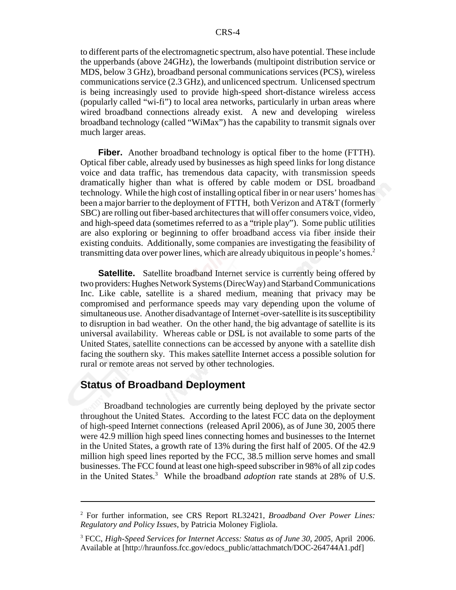to different parts of the electromagnetic spectrum, also have potential. These include the upperbands (above 24GHz), the lowerbands (multipoint distribution service or MDS, below 3 GHz), broadband personal communications services (PCS), wireless communications service (2.3 GHz), and unlicenced spectrum. Unlicensed spectrum is being increasingly used to provide high-speed short-distance wireless access (popularly called "wi-fi") to local area networks, particularly in urban areas where wired broadband connections already exist. A new and developing wireless broadband technology (called "WiMax") has the capability to transmit signals over much larger areas.

**Fiber.** Another broadband technology is optical fiber to the home (FTTH). Optical fiber cable, already used by businesses as high speed links for long distance voice and data traffic, has tremendous data capacity, with transmission speeds dramatically higher than what is offered by cable modem or DSL broadband technology. While the high cost of installing optical fiber in or near users' homes has been a major barrier to the deployment of FTTH, both Verizon and AT&T (formerly SBC) are rolling out fiber-based architectures that will offer consumers voice, video, and high-speed data (sometimes referred to as a "triple play"). Some public utilities are also exploring or beginning to offer broadband access via fiber inside their existing conduits. Additionally, some companies are investigating the feasibility of transmitting data over power lines, which are already ubiquitous in people's homes.<sup>2</sup>

**Satellite.** Satellite broadband Internet service is currently being offered by two providers: Hughes Network Systems (DirecWay) and Starband Communications Inc. Like cable, satellite is a shared medium, meaning that privacy may be compromised and performance speeds may vary depending upon the volume of simultaneous use. Another disadvantage of Internet -over-satellite is its susceptibility to disruption in bad weather. On the other hand, the big advantage of satellite is its universal availability. Whereas cable or DSL is not available to some parts of the United States, satellite connections can be accessed by anyone with a satellite dish facing the southern sky. This makes satellite Internet access a possible solution for rural or remote areas not served by other technologies.

### **Status of Broadband Deployment**

 Broadband technologies are currently being deployed by the private sector throughout the United States. According to the latest FCC data on the deployment of high-speed Internet connections (released April 2006), as of June 30, 2005 there were 42.9 million high speed lines connecting homes and businesses to the Internet in the United States, a growth rate of 13% during the first half of 2005. Of the 42.9 million high speed lines reported by the FCC, 38.5 million serve homes and small businesses. The FCC found at least one high-speed subscriber in 98% of all zip codes in the United States.<sup>3</sup> While the broadband *adoption* rate stands at 28% of U.S.

<sup>2</sup> For further information, see CRS Report RL32421, *Broadband Over Power Lines: Regulatory and Policy Issues,* by Patricia Moloney Figliola.

<sup>3</sup> FCC, *High-Speed Services for Internet Access: Status as of June 30, 2005,* April 2006. Available at [http://hraunfoss.fcc.gov/edocs\_public/attachmatch/DOC-264744A1.pdf]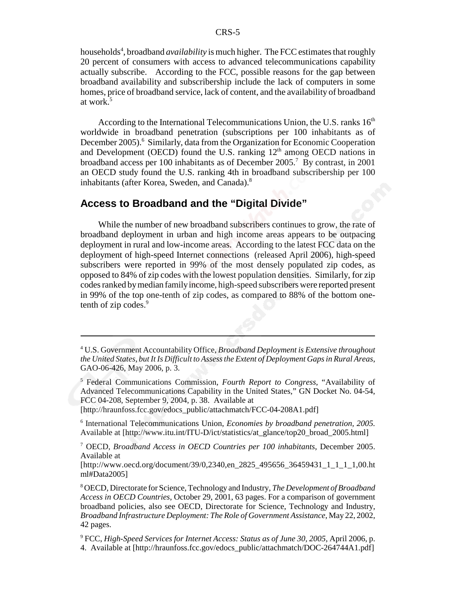households<sup>4</sup>, broadband *availability* is much higher. The FCC estimates that roughly 20 percent of consumers with access to advanced telecommunications capability actually subscribe. According to the FCC, possible reasons for the gap between broadband availability and subscribership include the lack of computers in some homes, price of broadband service, lack of content, and the availability of broadband at work.<sup>5</sup>

According to the International Telecommunications Union, the U.S. ranks 16<sup>th</sup> worldwide in broadband penetration (subscriptions per 100 inhabitants as of December 2005).<sup>6</sup> Similarly, data from the Organization for Economic Cooperation and Development (OECD) found the U.S. ranking  $12<sup>th</sup>$  among OECD nations in broadband access per 100 inhabitants as of December 2005.<sup>7</sup> By contrast, in 2001 an OECD study found the U.S. ranking 4th in broadband subscribership per 100 inhabitants (after Korea, Sweden, and Canada).8

## **Access to Broadband and the "Digital Divide"**

While the number of new broadband subscribers continues to grow, the rate of broadband deployment in urban and high income areas appears to be outpacing deployment in rural and low-income areas. According to the latest FCC data on the deployment of high-speed Internet connections (released April 2006), high-speed subscribers were reported in 99% of the most densely populated zip codes, as opposed to 84% of zip codes with the lowest population densities. Similarly, for zip codes ranked by median family income, high-speed subscribers were reported present in 99% of the top one-tenth of zip codes, as compared to 88% of the bottom onetenth of zip codes.<sup>9</sup>

<sup>4</sup> U.S. Government Accountability Office, *Broadband Deployment is Extensive throughout the United States, but It Is Difficult to Assess the Extent of Deployment Gaps in Rural Areas*, GAO-06-426, May 2006, p. 3.

<sup>5</sup> Federal Communications Commission, *Fourth Report to Congress*, "Availability of Advanced Telecommunications Capability in the United States," GN Docket No. 04-54, FCC 04-208, September 9, 2004, p. 38. Available at

<sup>[</sup>http://hraunfoss.fcc.gov/edocs\_public/attachmatch/FCC-04-208A1.pdf]

<sup>6</sup> International Telecommunications Union, *Economies by broadband penetration, 2005.* Available at [http://www.itu.int/ITU-D/ict/statistics/at\_glance/top20\_broad\_2005.html]

<sup>7</sup> OECD, *Broadband Access in OECD Countries per 100 inhabitants*, December 2005. Available at

<sup>[</sup>http://www.oecd.org/document/39/0,2340,en\_2825\_495656\_36459431\_1\_1\_1\_1,00.ht ml#Data2005]

<sup>8</sup> OECD, Directorate for Science, Technology and Industry, *The Development of Broadband Access in OECD Countries*, October 29, 2001, 63 pages. For a comparison of government broadband policies, also see OECD, Directorate for Science, Technology and Industry, *Broadband Infrastructure Deployment: The Role of Government Assistance*, May 22, 2002, 42 pages.

<sup>9</sup> FCC, *High-Speed Services for Internet Access: Status as of June 30, 2005,* April 2006, p. 4. Available at [http://hraunfoss.fcc.gov/edocs\_public/attachmatch/DOC-264744A1.pdf]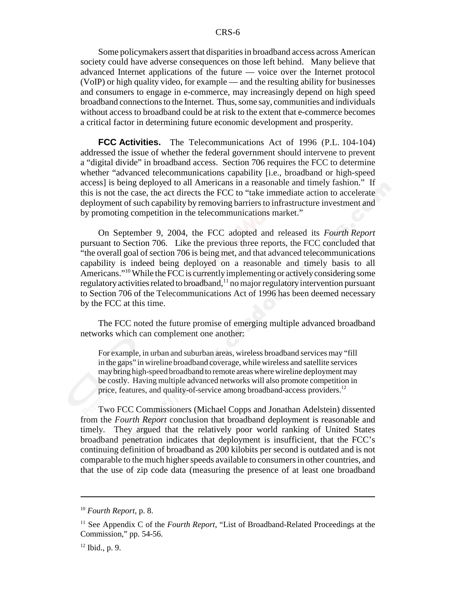Some policymakers assert that disparities in broadband access across American society could have adverse consequences on those left behind. Many believe that advanced Internet applications of the future — voice over the Internet protocol (VoIP) or high quality video, for example — and the resulting ability for businesses and consumers to engage in e-commerce, may increasingly depend on high speed broadband connections to the Internet. Thus, some say, communities and individuals without access to broadband could be at risk to the extent that e-commerce becomes a critical factor in determining future economic development and prosperity.

**FCC Activities.** The Telecommunications Act of 1996 (P.L. 104-104) addressed the issue of whether the federal government should intervene to prevent a "digital divide" in broadband access. Section 706 requires the FCC to determine whether "advanced telecommunications capability [i.e., broadband or high-speed access] is being deployed to all Americans in a reasonable and timely fashion." If this is not the case, the act directs the FCC to "take immediate action to accelerate deployment of such capability by removing barriers to infrastructure investment and by promoting competition in the telecommunications market."

 On September 9, 2004, the FCC adopted and released its *Fourth Report* pursuant to Section 706. Like the previous three reports, the FCC concluded that "the overall goal of section 706 is being met, and that advanced telecommunications capability is indeed being deployed on a reasonable and timely basis to all Americans."10 While the FCC is currently implementing or actively considering some regulatory activities related to broadband,<sup>11</sup> no major regulatory intervention pursuant to Section 706 of the Telecommunications Act of 1996 has been deemed necessary by the FCC at this time.

The FCC noted the future promise of emerging multiple advanced broadband networks which can complement one another:

For example, in urban and suburban areas, wireless broadband services may "fill in the gaps" in wireline broadband coverage, while wireless and satellite services may bring high-speed broadband to remote areas where wireline deployment may be costly. Having multiple advanced networks will also promote competition in price, features, and quality-of-service among broadband-access providers.<sup>12</sup>

Two FCC Commissioners (Michael Copps and Jonathan Adelstein) dissented from the *Fourth Report* conclusion that broadband deployment is reasonable and timely. They argued that the relatively poor world ranking of United States broadband penetration indicates that deployment is insufficient, that the FCC's continuing definition of broadband as 200 kilobits per second is outdated and is not comparable to the much higher speeds available to consumers in other countries, and that the use of zip code data (measuring the presence of at least one broadband

<sup>10</sup> *Fourth Report*, p. 8.

<sup>&</sup>lt;sup>11</sup> See Appendix C of the *Fourth Report*, "List of Broadband-Related Proceedings at the Commission," pp. 54-56.

 $12$  Ibid., p. 9.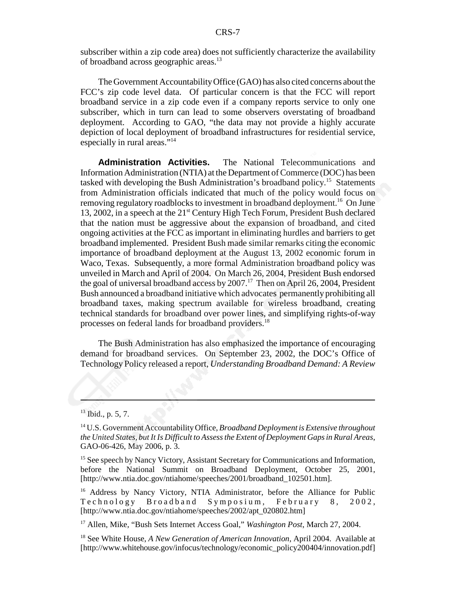subscriber within a zip code area) does not sufficiently characterize the availability of broadband across geographic areas.13

The Government Accountability Office (GAO) has also cited concerns about the FCC's zip code level data. Of particular concern is that the FCC will report broadband service in a zip code even if a company reports service to only one subscriber, which in turn can lead to some observers overstating of broadband deployment. According to GAO, "the data may not provide a highly accurate depiction of local deployment of broadband infrastructures for residential service, especially in rural areas."14

**Administration Activities.** The National Telecommunications and Information Administration (NTIA) at the Department of Commerce (DOC) has been tasked with developing the Bush Administration's broadband policy.15 Statements from Administration officials indicated that much of the policy would focus on removing regulatory roadblocks to investment in broadband deployment.<sup>16</sup> On June 13, 2002, in a speech at the 21st Century High Tech Forum, President Bush declared that the nation must be aggressive about the expansion of broadband, and cited ongoing activities at the FCC as important in eliminating hurdles and barriers to get broadband implemented. President Bush made similar remarks citing the economic importance of broadband deployment at the August 13, 2002 economic forum in Waco, Texas. Subsequently, a more formal Administration broadband policy was unveiled in March and April of 2004. On March 26, 2004, President Bush endorsed the goal of universal broadband access by 2007.<sup>17</sup> Then on April 26, 2004, President Bush announced a broadband initiative which advocates permanently prohibiting all broadband taxes, making spectrum available for wireless broadband, creating technical standards for broadband over power lines, and simplifying rights-of-way processes on federal lands for broadband providers.18

The Bush Administration has also emphasized the importance of encouraging demand for broadband services. On September 23, 2002, the DOC's Office of Technology Policy released a report, *Understanding Broadband Demand: A Review*

 $13$  Ibid., p. 5, 7.

<sup>14</sup> U.S. Government Accountability Office, *Broadband Deployment is Extensive throughout the United States, but It Is Difficult to Assess the Extent of Deployment Gaps in Rural Areas*, GAO-06-426, May 2006, p. 3.

<sup>&</sup>lt;sup>15</sup> See speech by Nancy Victory, Assistant Secretary for Communications and Information, before the National Summit on Broadband Deployment, October 25, 2001, [http://www.ntia.doc.gov/ntiahome/speeches/2001/broadband\_102501.htm].

<sup>&</sup>lt;sup>16</sup> Address by Nancy Victory, NTIA Administrator, before the Alliance for Public Technology Broadband Symposium, February 8, 2002, [http://www.ntia.doc.gov/ntiahome/speeches/2002/apt\_020802.htm]

<sup>17</sup> Allen, Mike, "Bush Sets Internet Access Goal," *Washington Post*, March 27, 2004.

<sup>18</sup> See White House, *A New Generation of American Innovation*, April 2004. Available at [http://www.whitehouse.gov/infocus/technology/economic\_policy200404/innovation.pdf]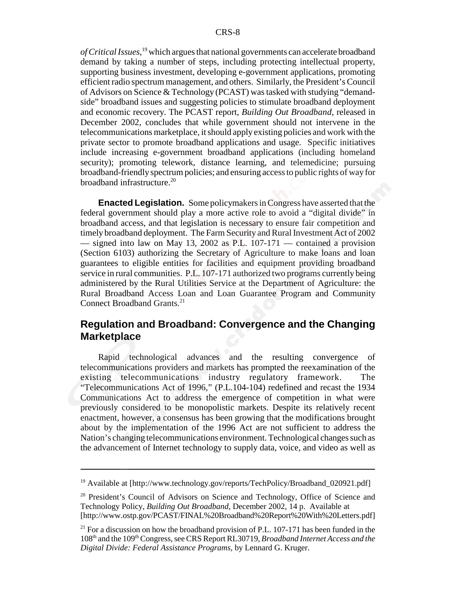*of Critical Issues*, 19 which argues that national governments can accelerate broadband demand by taking a number of steps, including protecting intellectual property, supporting business investment, developing e-government applications, promoting efficient radio spectrum management, and others. Similarly, the President's Council of Advisors on Science & Technology (PCAST) was tasked with studying "demandside" broadband issues and suggesting policies to stimulate broadband deployment and economic recovery. The PCAST report, *Building Out Broadband*, released in December 2002, concludes that while government should not intervene in the telecommunications marketplace, it should apply existing policies and work with the private sector to promote broadband applications and usage. Specific initiatives include increasing e-government broadband applications (including homeland security); promoting telework, distance learning, and telemedicine; pursuing broadband-friendly spectrum policies; and ensuring access to public rights of way for broadband infrastructure.<sup>20</sup>

**Enacted Legislation.** Some policymakers in Congress have asserted that the federal government should play a more active role to avoid a "digital divide" in broadband access, and that legislation is necessary to ensure fair competition and timely broadband deployment. The Farm Security and Rural Investment Act of 2002  $-$  signed into law on May 13, 2002 as P.L. 107-171 — contained a provision (Section 6103) authorizing the Secretary of Agriculture to make loans and loan guarantees to eligible entities for facilities and equipment providing broadband service in rural communities. P.L. 107-171 authorized two programs currently being administered by the Rural Utilities Service at the Department of Agriculture: the Rural Broadband Access Loan and Loan Guarantee Program and Community Connect Broadband Grants.<sup>21</sup>

## **Regulation and Broadband: Convergence and the Changing Marketplace**

Rapid technological advances and the resulting convergence of telecommunications providers and markets has prompted the reexamination of the existing telecommunications industry regulatory framework. The "Telecommunications Act of 1996," (P.L.104-104) redefined and recast the 1934 Communications Act to address the emergence of competition in what were previously considered to be monopolistic markets. Despite its relatively recent enactment, however, a consensus has been growing that the modifications brought about by the implementation of the 1996 Act are not sufficient to address the Nation's changing telecommunications environment. Technological changes such as the advancement of Internet technology to supply data, voice, and video as well as

<sup>&</sup>lt;sup>19</sup> Available at [http://www.technology.gov/reports/TechPolicy/Broadband\_020921.pdf]

<sup>&</sup>lt;sup>20</sup> President's Council of Advisors on Science and Technology, Office of Science and Technology Policy, *Building Out Broadband*, December 2002, 14 p. Available at [http://www.ostp.gov/PCAST/FINAL%20Broadband%20Report%20With%20Letters.pdf]

 $21$  For a discussion on how the broadband provision of P.L. 107-171 has been funded in the 108th and the 109th Congress, see CRS Report RL30719, *Broadband Internet Access and the Digital Divide: Federal Assistance Programs,* by Lennard G. Kruger.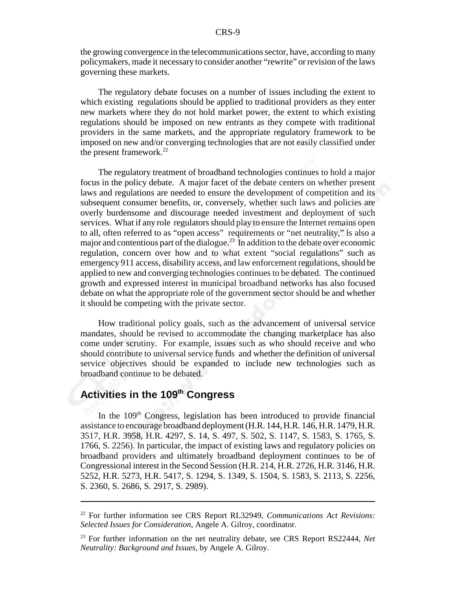the growing convergence in the telecommunications sector, have, according to many policymakers, made it necessary to consider another "rewrite" or revision of the laws governing these markets.

The regulatory debate focuses on a number of issues including the extent to which existing regulations should be applied to traditional providers as they enter new markets where they do not hold market power, the extent to which existing regulations should be imposed on new entrants as they compete with traditional providers in the same markets, and the appropriate regulatory framework to be imposed on new and/or converging technologies that are not easily classified under the present framework.<sup>22</sup>

The regulatory treatment of broadband technologies continues to hold a major focus in the policy debate. A major facet of the debate centers on whether present laws and regulations are needed to ensure the development of competition and its subsequent consumer benefits, or, conversely, whether such laws and policies are overly burdensome and discourage needed investment and deployment of such services. What if any role regulators should play to ensure the Internet remains open to all, often referred to as "open access" requirements or "net neutrality," is also a major and contentious part of the dialogue.<sup>23</sup> In addition to the debate over economic regulation, concern over how and to what extent "social regulations" such as emergency 911 access, disability access, and law enforcement regulations, should be applied to new and converging technologies continues to be debated. The continued growth and expressed interest in municipal broadband networks has also focused debate on what the appropriate role of the government sector should be and whether it should be competing with the private sector.

How traditional policy goals, such as the advancement of universal service mandates, should be revised to accommodate the changing marketplace has also come under scrutiny. For example, issues such as who should receive and who should contribute to universal service funds and whether the definition of universal service objectives should be expanded to include new technologies such as broadband continue to be debated.

## **Activities in the 109<sup>th</sup> Congress**

In the  $109<sup>th</sup>$  Congress, legislation has been introduced to provide financial assistance to encourage broadband deployment (H.R. 144, H.R. 146, H.R. 1479, H.R. 3517, H.R. 3958, H.R. 4297, S. 14, S. 497, S. 502, S. 1147, S. 1583, S. 1765, S. 1766, S. 2256). In particular, the impact of existing laws and regulatory policies on broadband providers and ultimately broadband deployment continues to be of Congressional interest in the Second Session (H.R. 214, H.R. 2726, H.R. 3146, H.R. 5252, H.R. 5273, H.R. 5417, S. 1294, S. 1349, S. 1504, S. 1583, S. 2113, S. 2256, S. 2360, S. 2686, S. 2917, S. 2989).

<sup>22</sup> For further information see CRS Report RL32949, *Communications Act Revisions: Selected Issues for Consideration*, Angele A. Gilroy, coordinator.

<sup>23</sup> For further information on the net neutrality debate, see CRS Report RS22444, *Net Neutrality: Background and Issues*, by Angele A. Gilroy.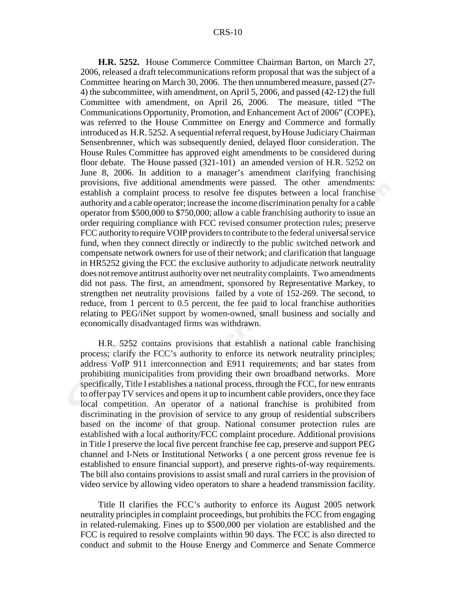**H.R. 5252.** House Commerce Committee Chairman Barton, on March 27, 2006, released a draft telecommunications reform proposal that was the subject of a Committee hearing on March 30, 2006. The then unnumbered measure, passed (27- 4) the subcommittee, with amendment, on April 5, 2006, and passed (42-12) the full Committee with amendment, on April 26, 2006. The measure, titled "The Communications Opportunity, Promotion, and Enhancement Act of 2006" (COPE), was referred to the House Committee on Energy and Commerce and formally introduced as H.R. 5252. A sequential referral request, by House Judiciary Chairman Sensenbrenner, which was subsequently denied, delayed floor consideration. The House Rules Committee has approved eight amendments to be considered during floor debate. The House passed (321-101) an amended version of H.R. 5252 on June 8, 2006. In addition to a manager's amendment clarifying franchising provisions, five additional amendments were passed. The other amendments: establish a complaint process to resolve fee disputes between a local franchise authority and a cable operator; increase the income discrimination penalty for a cable operator from \$500,000 to \$750,000; allow a cable franchising authority to issue an order requiring compliance with FCC revised consumer protection rules; preserve FCC authority to require VOIP providers to contribute to the federal universal service fund, when they connect directly or indirectly to the public switched network and compensate network owners for use of their network; and clarification that language in HR5252 giving the FCC the exclusive authority to adjudicate network neutrality does not remove antitrust authority over net neutrality complaints. Two amendments did not pass. The first, an amendment, sponsored by Representative Markey, to strengthen net neutrality provisions failed by a vote of 152-269. The second, to reduce, from 1 percent to 0.5 percent, the fee paid to local franchise authorities relating to PEG/iNet support by women-owned, small business and socially and economically disadvantaged firms was withdrawn.

H.R. 5252 contains provisions that establish a national cable franchising process; clarify the FCC's authority to enforce its network neutrality principles; address VoIP 911 interconnection and E911 requirements; and bar states from prohibiting municipalities from providing their own broadband networks. More specifically, Title I establishes a national process, through the FCC, for new entrants to offer pay TV services and opens it up to incumbent cable providers, once they face local competition. An operator of a national franchise is prohibited from discriminating in the provision of service to any group of residential subscribers based on the income of that group. National consumer protection rules are established with a local authority/FCC complaint procedure. Additional provisions in Title I preserve the local five percent franchise fee cap, preserve and support PEG channel and I-Nets or Institutional Networks ( a one percent gross revenue fee is established to ensure financial support), and preserve rights-of-way requirements. The bill also contains provisions to assist small and rural carriers in the provision of video service by allowing video operators to share a headend transmission facility.

Title II clarifies the FCC's authority to enforce its August 2005 network neutrality principles in complaint proceedings, but prohibits the FCC from engaging in related-rulemaking. Fines up to \$500,000 per violation are established and the FCC is required to resolve complaints within 90 days. The FCC is also directed to conduct and submit to the House Energy and Commerce and Senate Commerce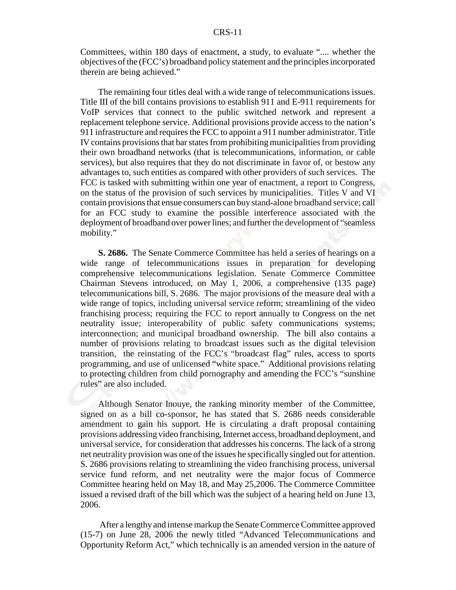Committees, within 180 days of enactment, a study, to evaluate ".... whether the objectives of the (FCC's) broadband policy statement and the principles incorporated therein are being achieved."

The remaining four titles deal with a wide range of telecommunications issues. Title III of the bill contains provisions to establish 911 and E-911 requirements for VoIP services that connect to the public switched network and represent a replacement telephone service. Additional provisions provide access to the nation's 911 infrastructure and requires the FCC to appoint a 911 number administrator. Title IV contains provisions that bar states from prohibiting municipalities from providing their own broadband networks (that is telecommunications, information, or cable services), but also requires that they do not discriminate in favor of, or bestow any advantages to, such entities as compared with other providers of such services. The FCC is tasked with submitting within one year of enactment, a report to Congress, on the status of the provision of such services by municipalities. Titles V and VI contain provisions that ensue consumers can buy stand-alone broadband service; call for an FCC study to examine the possible interference associated with the deployment of broadband over power lines; and further the development of "seamless mobility."

**S. 2686.** The Senate Commerce Committee has held a series of hearings on a wide range of telecommunications issues in preparation for developing comprehensive telecommunications legislation. Senate Commerce Committee Chairman Stevens introduced, on May 1, 2006, a comprehensive (135 page) telecommunications bill, S. 2686. The major provisions of the measure deal with a wide range of topics, including universal service reform; streamlining of the video franchising process; requiring the FCC to report annually to Congress on the net neutrality issue; interoperability of public safety communications systems; interconnection; and municipal broadband ownership. The bill also contains a number of provisions relating to broadcast issues such as the digital television transition, the reinstating of the FCC's "broadcast flag" rules, access to sports programming, and use of unlicensed "white space." Additional provisions relating to protecting children from child pornography and amending the FCC's "sunshine rules" are also included.

Although Senator Inouye, the ranking minority member of the Committee, signed on as a bill co-sponsor, he has stated that S. 2686 needs considerable amendment to gain his support. He is circulating a draft proposal containing provisions addressing video franchising, Internet access, broadband deployment, and universal service, for consideration that addresses his concerns. The lack of a strong net neutrality provision was one of the issues he specifically singled out for attention. S. 2686 provisions relating to streamlining the video franchising process, universal service fund reform, and net neutrality were the major focus of Commerce Committee hearing held on May 18, and May 25,2006. The Commerce Committee issued a revised draft of the bill which was the subject of a hearing held on June 13, 2006.

 After a lengthy and intense markup the Senate Commerce Committee approved (15-7) on June 28, 2006 the newly titled "Advanced Telecommunications and Opportunity Reform Act," which technically is an amended version in the nature of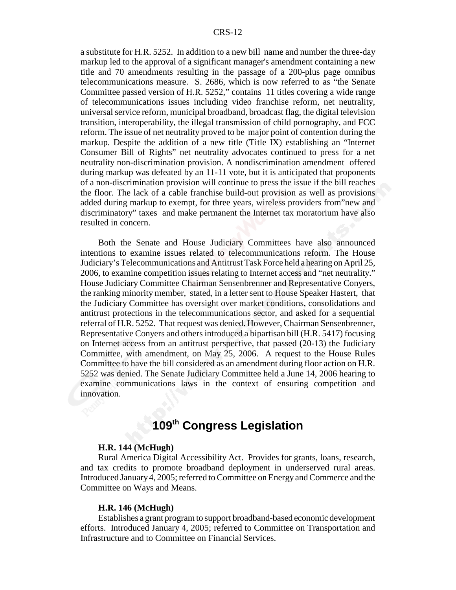a substitute for H.R. 5252. In addition to a new bill name and number the three-day markup led to the approval of a significant manager's amendment containing a new title and 70 amendments resulting in the passage of a 200-plus page omnibus telecommunications measure. S. 2686, which is now referred to as "the Senate Committee passed version of H.R. 5252," contains 11 titles covering a wide range of telecommunications issues including video franchise reform, net neutrality, universal service reform, municipal broadband, broadcast flag, the digital television transition, interoperability, the illegal transmission of child pornography, and FCC reform. The issue of net neutrality proved to be major point of contention during the markup. Despite the addition of a new title (Title IX) establishing an "Internet Consumer Bill of Rights" net neutrality advocates continued to press for a net neutrality non-discrimination provision. A nondiscrimination amendment offered during markup was defeated by an 11-11 vote, but it is anticipated that proponents of a non-discrimination provision will continue to press the issue if the bill reaches the floor. The lack of a cable franchise build-out provision as well as provisions added during markup to exempt, for three years, wireless providers from"new and discriminatory" taxes and make permanent the Internet tax moratorium have also resulted in concern.

Both the Senate and House Judiciary Committees have also announced intentions to examine issues related to telecommunications reform. The House Judiciary's Telecommunications and Antitrust Task Force held a hearing on April 25, 2006, to examine competition issues relating to Internet access and "net neutrality." House Judiciary Committee Chairman Sensenbrenner and Representative Conyers, the ranking minority member, stated, in a letter sent to House Speaker Hastert, that the Judiciary Committee has oversight over market conditions, consolidations and antitrust protections in the telecommunications sector, and asked for a sequential referral of H.R. 5252. That request was denied. However, Chairman Sensenbrenner, Representative Conyers and others introduced a bipartisan bill (H.R. 5417) focusing on Internet access from an antitrust perspective, that passed (20-13) the Judiciary Committee, with amendment, on May 25, 2006. A request to the House Rules Committee to have the bill considered as an amendment during floor action on H.R. 5252 was denied. The Senate Judiciary Committee held a June 14, 2006 hearing to examine communications laws in the context of ensuring competition and innovation.

## **109th Congress Legislation**

#### **H.R. 144 (McHugh)**

Rural America Digital Accessibility Act. Provides for grants, loans, research, and tax credits to promote broadband deployment in underserved rural areas. Introduced January 4, 2005; referred to Committee on Energy and Commerce and the Committee on Ways and Means.

#### **H.R. 146 (McHugh)**

Establishes a grant program to support broadband-based economic development efforts. Introduced January 4, 2005; referred to Committee on Transportation and Infrastructure and to Committee on Financial Services.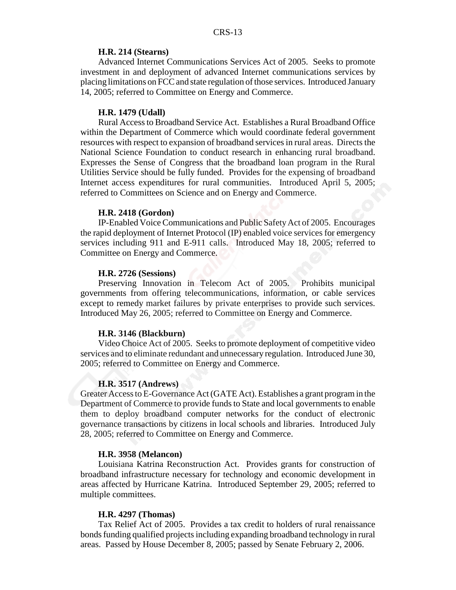#### **H.R. 214 (Stearns)**

Advanced Internet Communications Services Act of 2005. Seeks to promote investment in and deployment of advanced Internet communications services by placing limitations on FCC and state regulation of those services. Introduced January 14, 2005; referred to Committee on Energy and Commerce.

#### **H.R. 1479 (Udall)**

Rural Access to Broadband Service Act. Establishes a Rural Broadband Office within the Department of Commerce which would coordinate federal government resources with respect to expansion of broadband services in rural areas. Directs the National Science Foundation to conduct research in enhancing rural broadband. Expresses the Sense of Congress that the broadband loan program in the Rural Utilities Service should be fully funded. Provides for the expensing of broadband Internet access expenditures for rural communities. Introduced April 5, 2005; referred to Committees on Science and on Energy and Commerce.

#### **H.R. 2418 (Gordon)**

IP-Enabled Voice Communications and Public Safety Act of 2005. Encourages the rapid deployment of Internet Protocol (IP) enabled voice services for emergency services including 911 and E-911 calls. Introduced May 18, 2005; referred to Committee on Energy and Commerce.

#### **H.R. 2726 (Sessions)**

Preserving Innovation in Telecom Act of 2005. Prohibits municipal governments from offering telecommunications, information, or cable services except to remedy market failures by private enterprises to provide such services. Introduced May 26, 2005; referred to Committee on Energy and Commerce.

#### **H.R. 3146 (Blackburn)**

Video Choice Act of 2005. Seeks to promote deployment of competitive video services and to eliminate redundant and unnecessary regulation. Introduced June 30, 2005; referred to Committee on Energy and Commerce.

#### **H.R. 3517 (Andrews)**

Greater Access to E-Governance Act (GATE Act). Establishes a grant program in the Department of Commerce to provide funds to State and local governments to enable them to deploy broadband computer networks for the conduct of electronic governance transactions by citizens in local schools and libraries. Introduced July 28, 2005; referred to Committee on Energy and Commerce.

#### **H.R. 3958 (Melancon)**

Louisiana Katrina Reconstruction Act. Provides grants for construction of broadband infrastructure necessary for technology and economic development in areas affected by Hurricane Katrina. Introduced September 29, 2005; referred to multiple committees.

#### **H.R. 4297 (Thomas)**

Tax Relief Act of 2005. Provides a tax credit to holders of rural renaissance bonds funding qualified projects including expanding broadband technology in rural areas. Passed by House December 8, 2005; passed by Senate February 2, 2006.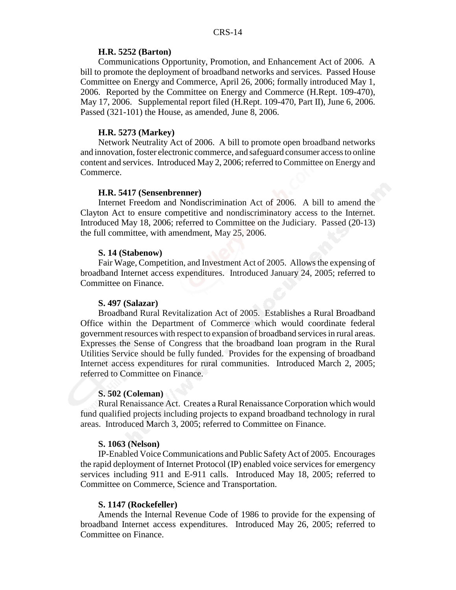#### **H.R. 5252 (Barton)**

Communications Opportunity, Promotion, and Enhancement Act of 2006. A bill to promote the deployment of broadband networks and services. Passed House Committee on Energy and Commerce, April 26, 2006; formally introduced May 1, 2006. Reported by the Committee on Energy and Commerce (H.Rept. 109-470), May 17, 2006. Supplemental report filed (H.Rept. 109-470, Part II), June 6, 2006. Passed (321-101) the House, as amended, June 8, 2006.

#### **H.R. 5273 (Markey)**

Network Neutrality Act of 2006. A bill to promote open broadband networks and innovation, foster electronic commerce, and safeguard consumer access to online content and services. Introduced May 2, 2006; referred to Committee on Energy and Commerce.

#### **H.R. 5417 (Sensenbrenner)**

Internet Freedom and Nondiscrimination Act of 2006. A bill to amend the Clayton Act to ensure competitive and nondiscriminatory access to the Internet. Introduced May 18, 2006; referred to Committee on the Judiciary. Passed (20-13) the full committee, with amendment, May 25, 2006.

#### **S. 14 (Stabenow)**

Fair Wage, Competition, and Investment Act of 2005. Allows the expensing of broadband Internet access expenditures. Introduced January 24, 2005; referred to Committee on Finance.

#### **S. 497 (Salazar)**

Broadband Rural Revitalization Act of 2005. Establishes a Rural Broadband Office within the Department of Commerce which would coordinate federal government resources with respect to expansion of broadband services in rural areas. Expresses the Sense of Congress that the broadband loan program in the Rural Utilities Service should be fully funded. Provides for the expensing of broadband Internet access expenditures for rural communities. Introduced March 2, 2005; referred to Committee on Finance.

#### **S. 502 (Coleman)**

Rural Renaissance Act. Creates a Rural Renaissance Corporation which would fund qualified projects including projects to expand broadband technology in rural areas. Introduced March 3, 2005; referred to Committee on Finance.

#### **S. 1063 (Nelson)**

IP-Enabled Voice Communications and Public Safety Act of 2005. Encourages the rapid deployment of Internet Protocol (IP) enabled voice services for emergency services including 911 and E-911 calls. Introduced May 18, 2005; referred to Committee on Commerce, Science and Transportation.

#### **S. 1147 (Rockefeller)**

Amends the Internal Revenue Code of 1986 to provide for the expensing of broadband Internet access expenditures. Introduced May 26, 2005; referred to Committee on Finance.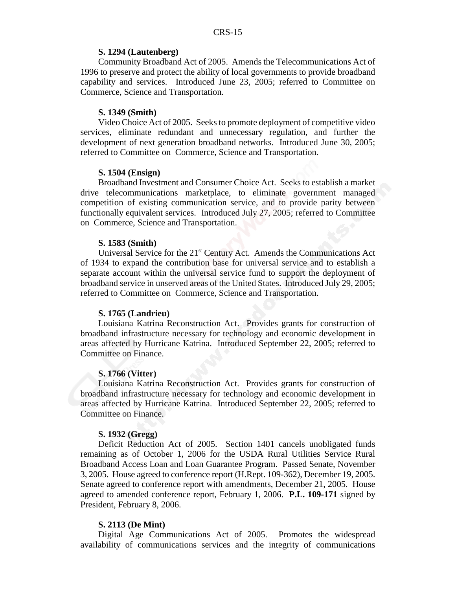#### **S. 1294 (Lautenberg)**

Community Broadband Act of 2005. Amends the Telecommunications Act of 1996 to preserve and protect the ability of local governments to provide broadband capability and services. Introduced June 23, 2005; referred to Committee on Commerce, Science and Transportation.

#### **S. 1349 (Smith)**

Video Choice Act of 2005. Seeks to promote deployment of competitive video services, eliminate redundant and unnecessary regulation, and further the development of next generation broadband networks. Introduced June 30, 2005; referred to Committee on Commerce, Science and Transportation.

#### **S. 1504 (Ensign)**

Broadband Investment and Consumer Choice Act. Seeks to establish a market drive telecommunications marketplace, to eliminate government managed competition of existing communication service, and to provide parity between functionally equivalent services. Introduced July 27, 2005; referred to Committee on Commerce, Science and Transportation.

#### **S. 1583 (Smith)**

Universal Service for the 21<sup>st</sup> Century Act. Amends the Communications Act of 1934 to expand the contribution base for universal service and to establish a separate account within the universal service fund to support the deployment of broadband service in unserved areas of the United States. Introduced July 29, 2005; referred to Committee on Commerce, Science and Transportation.

#### **S. 1765 (Landrieu)**

Louisiana Katrina Reconstruction Act. Provides grants for construction of broadband infrastructure necessary for technology and economic development in areas affected by Hurricane Katrina. Introduced September 22, 2005; referred to Committee on Finance.

#### **S. 1766 (Vitter)**

Louisiana Katrina Reconstruction Act. Provides grants for construction of broadband infrastructure necessary for technology and economic development in areas affected by Hurricane Katrina. Introduced September 22, 2005; referred to Committee on Finance.

#### **S. 1932 (Gregg)**

Deficit Reduction Act of 2005. Section 1401 cancels unobligated funds remaining as of October 1, 2006 for the USDA Rural Utilities Service Rural Broadband Access Loan and Loan Guarantee Program. Passed Senate, November 3, 2005. House agreed to conference report (H.Rept. 109-362), December 19, 2005. Senate agreed to conference report with amendments, December 21, 2005. House agreed to amended conference report, February 1, 2006. **P.L. 109-171** signed by President, February 8, 2006.

#### **S. 2113 (De Mint)**

Digital Age Communications Act of 2005. Promotes the widespread availability of communications services and the integrity of communications